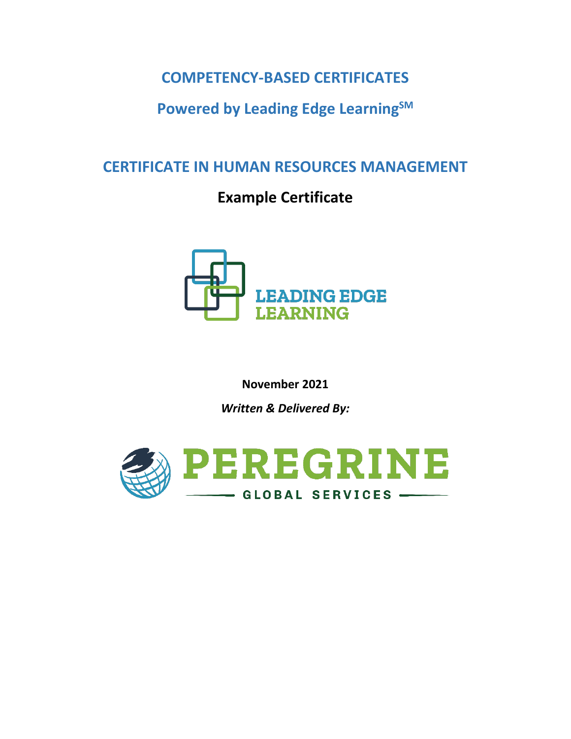## **COMPETENCY-BASED CERTIFICATES**

## **Powered by Leading Edge LearningSM**

## **CERTIFICATE IN HUMAN RESOURCES MANAGEMENT**

# **Example Certificate**



**November 2021**

*Written & Delivered By:*

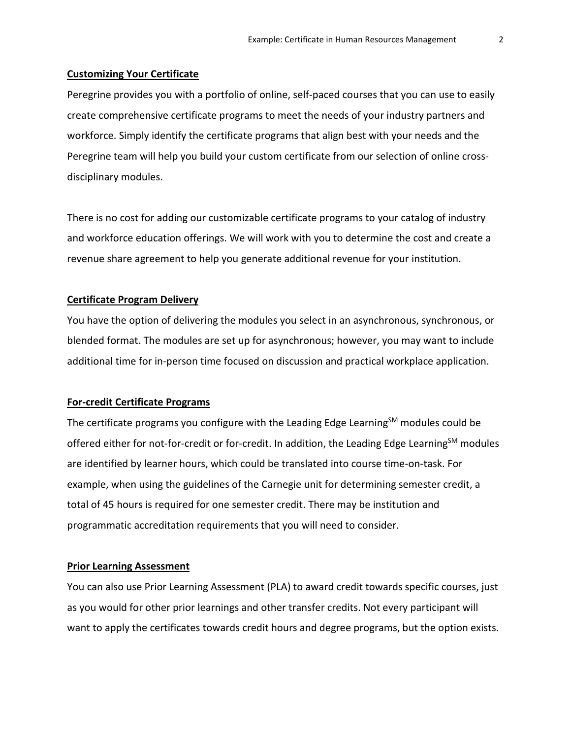#### **Customizing Your Certificate**

Peregrine provides you with a portfolio of online, self-paced courses that you can use to easily create comprehensive certificate programs to meet the needs of your industry partners and workforce. Simply identify the certificate programs that align best with your needs and the Peregrine team will help you build your custom certificate from our selection of online crossdisciplinary modules.

There is no cost for adding our customizable certificate programs to your catalog of industry and workforce education offerings. We will work with you to determine the cost and create a revenue share agreement to help you generate additional revenue for your institution.

#### **Certificate Program Delivery**

You have the option of delivering the modules you select in an asynchronous, synchronous, or blended format. The modules are set up for asynchronous; however, you may want to include additional time for in-person time focused on discussion and practical workplace application.

#### **For-credit Certificate Programs**

The certificate programs you configure with the Leading Edge Learning $<sup>5M</sup>$  modules could be</sup> offered either for not-for-credit or for-credit. In addition, the Leading Edge Learning<sup>SM</sup> modules are identified by learner hours, which could be translated into course time-on-task. For example, when using the guidelines of the Carnegie unit for determining semester credit, a total of 45 hours is required for one semester credit. There may be institution and programmatic accreditation requirements that you will need to consider.

#### **Prior Learning Assessment**

You can also use Prior Learning Assessment (PLA) to award credit towards specific courses, just as you would for other prior learnings and other transfer credits. Not every participant will want to apply the certificates towards credit hours and degree programs, but the option exists.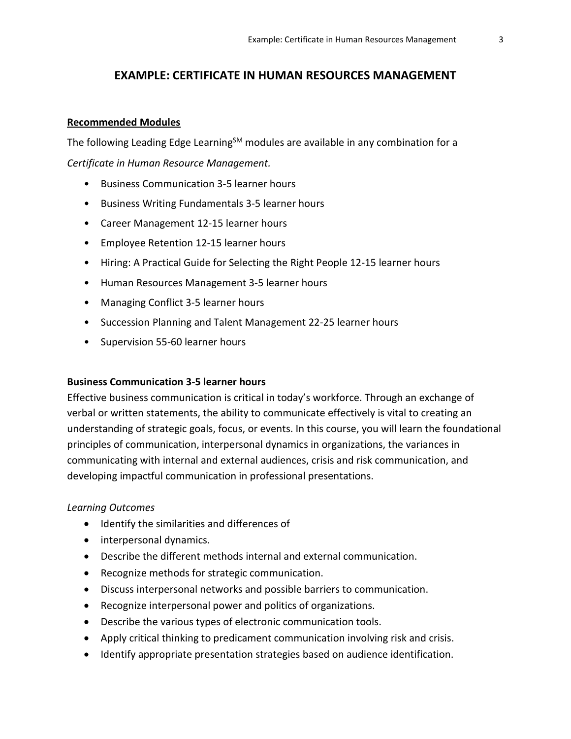## **EXAMPLE: CERTIFICATE IN HUMAN RESOURCES MANAGEMENT**

#### **Recommended Modules**

The following Leading Edge Learning<sup>SM</sup> modules are available in any combination for a *Certificate in Human Resource Management.*

- Business Communication 3-5 learner hours
- Business Writing Fundamentals 3-5 learner hours
- Career Management 12-15 learner hours
- Employee Retention 12-15 learner hours
- Hiring: A Practical Guide for Selecting the Right People 12-15 learner hours
- Human Resources Management 3-5 learner hours
- Managing Conflict 3-5 learner hours
- Succession Planning and Talent Management 22-25 learner hours
- Supervision 55-60 learner hours

#### **Business Communication 3-5 learner hours**

Effective business communication is critical in today's workforce. Through an exchange of verbal or written statements, the ability to communicate effectively is vital to creating an understanding of strategic goals, focus, or events. In this course, you will learn the foundational principles of communication, interpersonal dynamics in organizations, the variances in communicating with internal and external audiences, crisis and risk communication, and developing impactful communication in professional presentations.

- Identify the similarities and differences of
- interpersonal dynamics.
- Describe the different methods internal and external communication.
- Recognize methods for strategic communication.
- Discuss interpersonal networks and possible barriers to communication.
- Recognize interpersonal power and politics of organizations.
- Describe the various types of electronic communication tools.
- Apply critical thinking to predicament communication involving risk and crisis.
- Identify appropriate presentation strategies based on audience identification.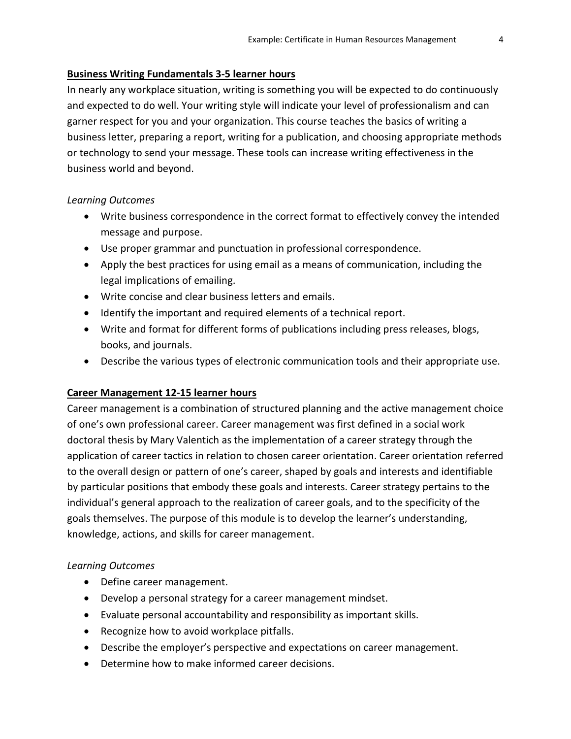#### **Business Writing Fundamentals 3-5 learner hours**

In nearly any workplace situation, writing is something you will be expected to do continuously and expected to do well. Your writing style will indicate your level of professionalism and can garner respect for you and your organization. This course teaches the basics of writing a business letter, preparing a report, writing for a publication, and choosing appropriate methods or technology to send your message. These tools can increase writing effectiveness in the business world and beyond.

#### *Learning Outcomes*

- Write business correspondence in the correct format to effectively convey the intended message and purpose.
- Use proper grammar and punctuation in professional correspondence.
- Apply the best practices for using email as a means of communication, including the legal implications of emailing.
- Write concise and clear business letters and emails.
- Identify the important and required elements of a technical report.
- Write and format for different forms of publications including press releases, blogs, books, and journals.
- Describe the various types of electronic communication tools and their appropriate use.

## **Career Management 12-15 learner hours**

Career management is a combination of structured planning and the active management choice of one's own professional career. Career management was first defined in a social work doctoral thesis by Mary Valentich as the implementation of a career strategy through the application of career tactics in relation to chosen career orientation. Career orientation referred to the overall design or pattern of one's career, shaped by goals and interests and identifiable by particular positions that embody these goals and interests. Career strategy pertains to the individual's general approach to the realization of career goals, and to the specificity of the goals themselves. The purpose of this module is to develop the learner's understanding, knowledge, actions, and skills for career management.

- Define career management.
- Develop a personal strategy for a career management mindset.
- Evaluate personal accountability and responsibility as important skills.
- Recognize how to avoid workplace pitfalls.
- Describe the employer's perspective and expectations on career management.
- Determine how to make informed career decisions.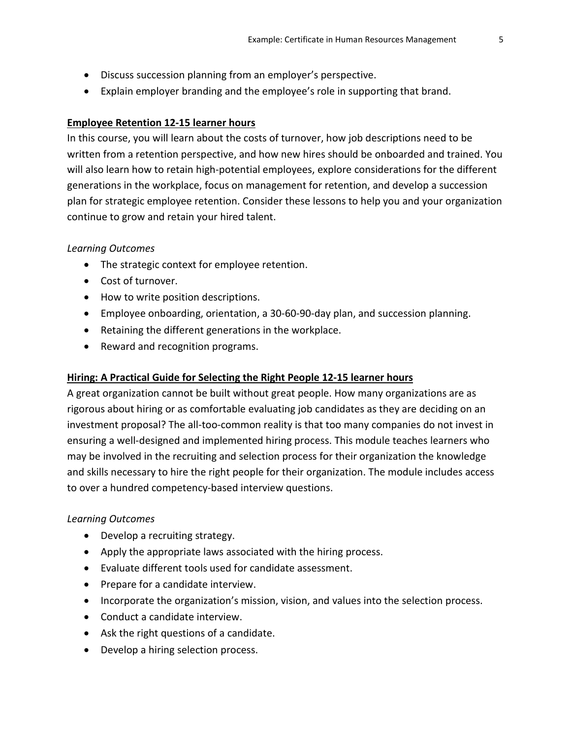- Discuss succession planning from an employer's perspective.
- Explain employer branding and the employee's role in supporting that brand.

## **Employee Retention 12-15 learner hours**

In this course, you will learn about the costs of turnover, how job descriptions need to be written from a retention perspective, and how new hires should be onboarded and trained. You will also learn how to retain high-potential employees, explore considerations for the different generations in the workplace, focus on management for retention, and develop a succession plan for strategic employee retention. Consider these lessons to help you and your organization continue to grow and retain your hired talent.

## *Learning Outcomes*

- The strategic context for employee retention.
- Cost of turnover.
- How to write position descriptions.
- Employee onboarding, orientation, a 30-60-90-day plan, and succession planning.
- Retaining the different generations in the workplace.
- Reward and recognition programs.

## **Hiring: A Practical Guide for Selecting the Right People 12-15 learner hours**

A great organization cannot be built without great people. How many organizations are as rigorous about hiring or as comfortable evaluating job candidates as they are deciding on an investment proposal? The all-too-common reality is that too many companies do not invest in ensuring a well-designed and implemented hiring process. This module teaches learners who may be involved in the recruiting and selection process for their organization the knowledge and skills necessary to hire the right people for their organization. The module includes access to over a hundred competency-based interview questions.

- Develop a recruiting strategy.
- Apply the appropriate laws associated with the hiring process.
- Evaluate different tools used for candidate assessment.
- Prepare for a candidate interview.
- Incorporate the organization's mission, vision, and values into the selection process.
- Conduct a candidate interview.
- Ask the right questions of a candidate.
- Develop a hiring selection process.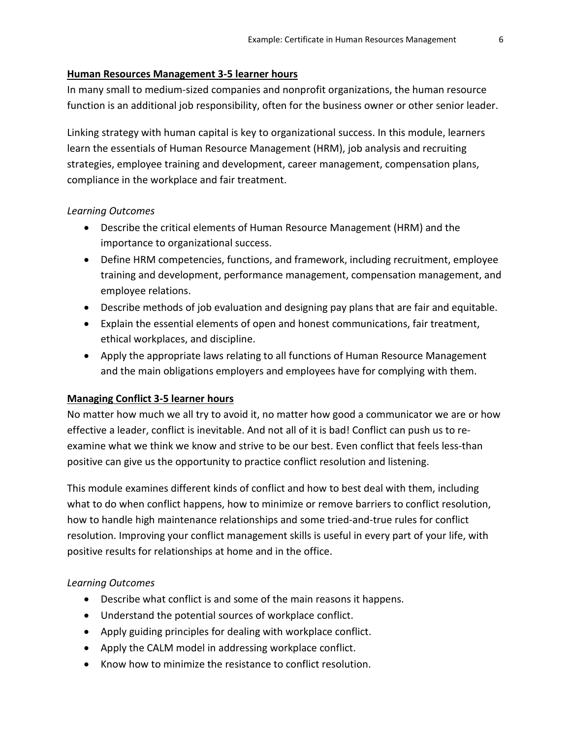#### **Human Resources Management 3-5 learner hours**

In many small to medium-sized companies and nonprofit organizations, the human resource function is an additional job responsibility, often for the business owner or other senior leader.

Linking strategy with human capital is key to organizational success. In this module, learners learn the essentials of Human Resource Management (HRM), job analysis and recruiting strategies, employee training and development, career management, compensation plans, compliance in the workplace and fair treatment.

#### *Learning Outcomes*

- Describe the critical elements of Human Resource Management (HRM) and the importance to organizational success.
- Define HRM competencies, functions, and framework, including recruitment, employee training and development, performance management, compensation management, and employee relations.
- Describe methods of job evaluation and designing pay plans that are fair and equitable.
- Explain the essential elements of open and honest communications, fair treatment, ethical workplaces, and discipline.
- Apply the appropriate laws relating to all functions of Human Resource Management and the main obligations employers and employees have for complying with them.

## **Managing Conflict 3-5 learner hours**

No matter how much we all try to avoid it, no matter how good a communicator we are or how effective a leader, conflict is inevitable. And not all of it is bad! Conflict can push us to reexamine what we think we know and strive to be our best. Even conflict that feels less-than positive can give us the opportunity to practice conflict resolution and listening.

This module examines different kinds of conflict and how to best deal with them, including what to do when conflict happens, how to minimize or remove barriers to conflict resolution, how to handle high maintenance relationships and some tried-and-true rules for conflict resolution. Improving your conflict management skills is useful in every part of your life, with positive results for relationships at home and in the office.

- Describe what conflict is and some of the main reasons it happens.
- Understand the potential sources of workplace conflict.
- Apply guiding principles for dealing with workplace conflict.
- Apply the CALM model in addressing workplace conflict.
- Know how to minimize the resistance to conflict resolution.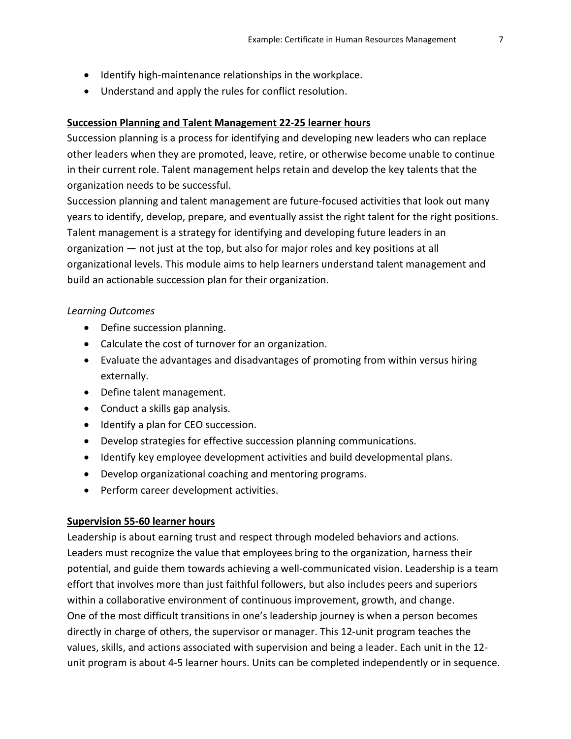- Identify high-maintenance relationships in the workplace.
- Understand and apply the rules for conflict resolution.

#### **Succession Planning and Talent Management 22-25 learner hours**

Succession planning is a process for identifying and developing new leaders who can replace other leaders when they are promoted, leave, retire, or otherwise become unable to continue in their current role. Talent management helps retain and develop the key talents that the organization needs to be successful.

Succession planning and talent management are future-focused activities that look out many years to identify, develop, prepare, and eventually assist the right talent for the right positions. Talent management is a strategy for identifying and developing future leaders in an organization — not just at the top, but also for major roles and key positions at all organizational levels. This module aims to help learners understand talent management and build an actionable succession plan for their organization.

#### *Learning Outcomes*

- Define succession planning.
- Calculate the cost of turnover for an organization.
- Evaluate the advantages and disadvantages of promoting from within versus hiring externally.
- Define talent management.
- Conduct a skills gap analysis.
- Identify a plan for CEO succession.
- Develop strategies for effective succession planning communications.
- Identify key employee development activities and build developmental plans.
- Develop organizational coaching and mentoring programs.
- Perform career development activities.

## **Supervision 55-60 learner hours**

Leadership is about earning trust and respect through modeled behaviors and actions. Leaders must recognize the value that employees bring to the organization, harness their potential, and guide them towards achieving a well-communicated vision. Leadership is a team effort that involves more than just faithful followers, but also includes peers and superiors within a collaborative environment of continuous improvement, growth, and change. One of the most difficult transitions in one's leadership journey is when a person becomes directly in charge of others, the supervisor or manager. This 12-unit program teaches the values, skills, and actions associated with supervision and being a leader. Each unit in the 12 unit program is about 4-5 learner hours. Units can be completed independently or in sequence.